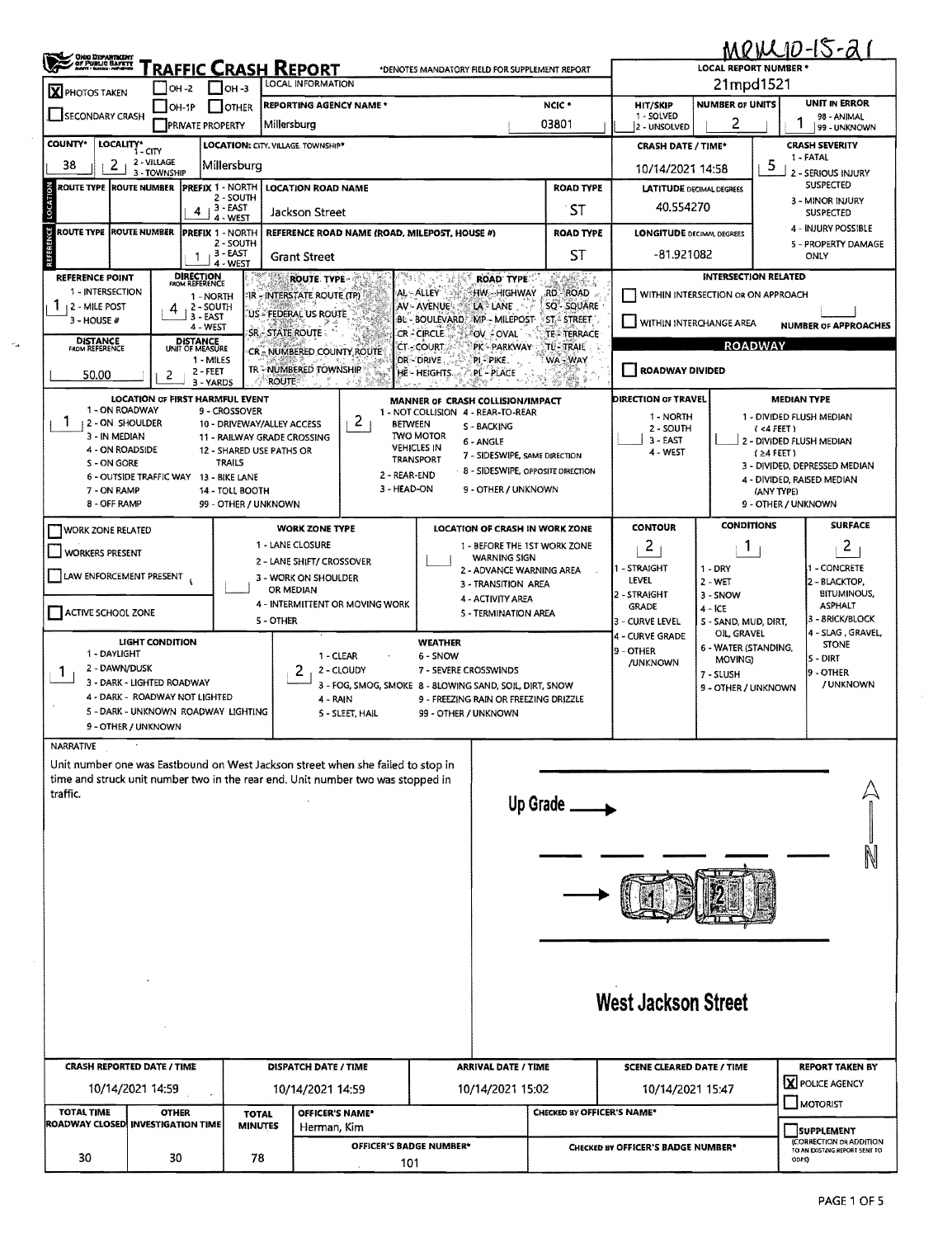| ,<br>ORO DEPARTMENT<br>OF PUBLIC BAFKET                                                                                                                                                     |                                                            |                                                 |                                | <b>FRAFFIC CRASH REPORT</b>                             |                 | *DENOTES MANDATORY FIELD FOR SUPPLEMENT REPORT                         |                                                                |                                  |                                               | <b>LOCAL REPORT NUMBER</b>                                      | MPILLID-15-21                                |                                                                                     |  |
|---------------------------------------------------------------------------------------------------------------------------------------------------------------------------------------------|------------------------------------------------------------|-------------------------------------------------|--------------------------------|---------------------------------------------------------|-----------------|------------------------------------------------------------------------|----------------------------------------------------------------|----------------------------------|-----------------------------------------------|-----------------------------------------------------------------|----------------------------------------------|-------------------------------------------------------------------------------------|--|
| LOCAL INFORMATION<br>OH-2<br>$1$ $\mu$ <sub>3</sub><br>X PHOTOS TAKEN                                                                                                                       |                                                            |                                                 |                                |                                                         |                 |                                                                        |                                                                |                                  | 21mpd1521                                     |                                                                 |                                              |                                                                                     |  |
| <b>REPORTING AGENCY NAME *</b><br><b>OTHER</b><br>OH IP<br><b>SECONDARY CRASH</b><br>Millersburg<br><b>PRIVATE PROPERTY</b>                                                                 |                                                            |                                                 |                                |                                                         |                 |                                                                        |                                                                | NCIC *<br>03801                  | <b>HIT/SKIP</b><br>1 - SOLVED<br>2 - UNSOLVED | <b>NUMBER OF UNITS</b><br>2                                     | UNIT IN ERROR<br>98 - ANIMAL<br>99 - UNKNOWN |                                                                                     |  |
| <b>COUNTY*</b>                                                                                                                                                                              | LOCALITY* CITY                                             |                                                 |                                | LOCATION: CITY, VILLAGE, TOWNSHIP*                      |                 |                                                                        |                                                                |                                  | <b>CRASH DATE / TIME*</b>                     |                                                                 |                                              | <b>CRASH SEVERITY</b>                                                               |  |
| 2 - VILLAGE<br>2<br>38<br>Millersburg<br>3 - TOWNSHIP                                                                                                                                       |                                                            |                                                 |                                |                                                         |                 |                                                                        |                                                                |                                  | 10/14/2021 14:58                              |                                                                 | b.                                           | 1 - FATAL<br>2 - SERIOUS INJURY                                                     |  |
| ROUTE TYPE ROUTE NUMBER                                                                                                                                                                     |                                                            | <b>IPREFIX 1 - NORTH</b>                        | 2 - SOUTH                      | <b>LOCATION ROAD NAME</b>                               |                 |                                                                        |                                                                | <b>ROAD TYPE</b>                 | <b>LATITUDE DECIMAL DEGREES</b>               |                                                                 | SUSPECTED                                    |                                                                                     |  |
| 3 - EAST<br>4<br>Jackson Street<br>4 - WEST<br>ROUTE TYPE ROUTE NUMBER<br><b>PREFIX 1 - NORTH</b><br>REFERENCE ROAD NAME (ROAD, MILEPOST, HOUSE #)<br>$2 - 50$ UTH                          |                                                            |                                                 |                                |                                                         |                 |                                                                        |                                                                | 40.554270                        |                                               | 3 - MINOR INJURY<br><b>SUSPECTED</b>                            |                                              |                                                                                     |  |
|                                                                                                                                                                                             |                                                            |                                                 |                                |                                                         |                 |                                                                        | <b>ROAD TYPE</b>                                               | <b>LONGITUDE DECIMAL DEGREES</b> |                                               | 4 - INJURY POSSIBLE<br>5 - PROPERTY DAMAGE                      |                                              |                                                                                     |  |
|                                                                                                                                                                                             | $1 + 3 - EAST$<br><b>Grant Street</b><br>4 - WEST          |                                                 |                                |                                                         |                 |                                                                        |                                                                | ST                               | $-81.921082$<br>ONLY                          |                                                                 |                                              |                                                                                     |  |
| <b>REFERENCE POINT</b><br>1 - INTERSECTION                                                                                                                                                  |                                                            | <b>DIRECTION</b><br>FROM REFERENCE<br>1 - NORTH |                                | ROUTE TYPE-<br>IR - INTERSTATE ROUTE (TP)               |                 | ್ತ<br>AL - ALLEY                                                       | <b>ROAD TYPE</b><br>HW-HIGHWAY                                 | KABCZ.<br>RD - ROAD              | WITHIN INTERSECTION OR ON APPROACH            | <b>INTERSECTION RELATED</b>                                     |                                              |                                                                                     |  |
| 1<br>12 - MILE POST<br>$3 - HOUSE#$                                                                                                                                                         | 4                                                          | 2 - SOUTH<br>3 EAST                             |                                | US - FEDERAL US ROUTE                                   |                 | AV - AVENUE<br>BL - BOULEVARD                                          | LA LANE<br>MP - MILEPOST                                       | SQ-SQUARE<br><b>ST-STREET</b>    |                                               |                                                                 |                                              |                                                                                     |  |
| <b>DISTANCE</b><br>FROM REFERENCE                                                                                                                                                           |                                                            | 4 - WEST                                        |                                | SR - STATE ROUTE                                        |                 | CR - CIRCLE                                                            | ®ov ≟oval                                                      | <b>TE - TERRACE</b>              | WITHIN INTERCHANGE AREA                       |                                                                 |                                              | <b>NUMBER OF APPROACHES</b>                                                         |  |
|                                                                                                                                                                                             |                                                            | DISTANCE<br>UNIT OF MEASURE<br>1 - MILES        |                                | CR - NUMBERED COUNTY ROUTE                              |                 | <b>CT-SCOURT</b><br>DR - DRIVE                                         | PK - PARKWAY<br>PL-PIKE,                                       | <b>TU-TRAIL</b><br>WA-WAY        |                                               |                                                                 | <b>ROADWAY</b>                               |                                                                                     |  |
| 50.00                                                                                                                                                                                       | 2                                                          | $2 - FEET$<br>3 - YARDS                         |                                | TR-NUMBERED TOWNSHIP<br><b>ROUTE</b>                    | -543            | HE-HEIGHTS                                                             | PL - PLACE                                                     |                                  | ROADWAY DIVIDED                               |                                                                 |                                              |                                                                                     |  |
| 1 - ON ROADWAY                                                                                                                                                                              | LOCATION OF FIRST HARMFUL EVENT                            | 9 - CROSSOVER                                   |                                |                                                         |                 | MANNER OF CRASH COLLISION/IMPACT<br>1 - NOT COLLISION 4 - REAR-TO-REAR |                                                                |                                  | DIRECTION OF TRAVEL                           |                                                                 | <b>MEDIAN TYPE</b>                           |                                                                                     |  |
| 2 - ON SHOULDER                                                                                                                                                                             |                                                            |                                                 |                                | 10 - DRIVEWAY/ALLEY ACCESS                              | 2 <sub>1</sub>  | <b>BETWEEN</b>                                                         | 5 - BACKING                                                    |                                  | 1 - NORTH<br>2 - SOUTH                        |                                                                 | 1 - DIVIDED FLUSH MEDIAN<br>(4FEE)           |                                                                                     |  |
| 3 - IN MEDIAN<br>4 - ON ROADSIDE                                                                                                                                                            |                                                            |                                                 |                                | 11 - RAILWAY GRADE CROSSING<br>12 - SHARED USE PATHS OR |                 | <b>TWO MOTOR</b><br><b>VEHICLES IN</b>                                 | 6 - ANGLE<br>7 - SIDESWIPE, SAME DIRECTION                     |                                  | 3 - EAST<br>4 - WEST                          |                                                                 | j 2 - DIVIDED FLUSH MEDIAN<br>$(24$ FEET)    |                                                                                     |  |
| S - ON GORE                                                                                                                                                                                 | 6 - OUTSIDE TRAFFIC WAY 13 - BIKE LANE                     | <b>TRAILS</b>                                   |                                |                                                         |                 | TRANSPORT<br>2 - REAR-END                                              | 8 - SIDESWIPE, OPPOSITE DIRECTION                              |                                  |                                               |                                                                 |                                              | 3 - DIVIDED, DEPRESSED MEDIAN                                                       |  |
| 7 - ON RAMP                                                                                                                                                                                 |                                                            |                                                 | 14 - TOLL BOOTH                |                                                         |                 | 3 - HEAD-ON                                                            | 9 - OTHER / UNKNOWN                                            |                                  |                                               | 4 - DIVIDED, RAISED MEDIAN<br>(ANY TYPE)<br>9 - OTHER / UNKNOWN |                                              |                                                                                     |  |
| 8 - OFF RAMP                                                                                                                                                                                |                                                            |                                                 | 99 - OTHER / UNKNOWN           |                                                         |                 |                                                                        |                                                                |                                  | <b>CONTOUR</b>                                | <b>CONDITIONS</b>                                               |                                              | <b>SURFACE</b>                                                                      |  |
| WORK ZONE RELATED                                                                                                                                                                           |                                                            |                                                 |                                | <b>WORK ZONE TYPE</b><br>1 - LANE CLOSURE               |                 |                                                                        | LOCATION OF CRASH IN WORK ZONE<br>1 - BEFORE THE 1ST WORK ZONE |                                  | 2                                             | 1                                                               |                                              | 2                                                                                   |  |
| <b>WORKERS PRESENT</b>                                                                                                                                                                      |                                                            |                                                 |                                | 2 - LANE SHIFT/ CROSSOVER                               |                 |                                                                        | <b>WARNING SIGN</b><br>2 - ADVANCE WARNING AREA                |                                  | 1 - STRAIGHT                                  | $1 - DRY$                                                       |                                              | - CONCRETE                                                                          |  |
| LAW ENFORCEMENT PRESENT                                                                                                                                                                     |                                                            |                                                 |                                | 3 - WORK ON SHOULDER<br>OR MEDIAN                       |                 |                                                                        | 3 - TRANSITION AREA                                            |                                  | LEVEL<br>2 - STRAIGHT                         | $2 - WET$<br>3 - SNOW                                           |                                              | 2 - BLACKTOP,<br><b>BITUMINOUS,</b>                                                 |  |
| ACTIVE SCHOOL ZONE                                                                                                                                                                          |                                                            |                                                 |                                | 4 - INTERMITTENT OR MOVING WORK                         |                 |                                                                        | 4 - ACTIVITY AREA<br>5 - TERMINATION AREA                      |                                  | <b>GRADE</b>                                  | $4 - ICE$                                                       |                                              | <b>ASPHALT</b><br>3 - 8RICK/BLOCK                                                   |  |
|                                                                                                                                                                                             |                                                            |                                                 |                                | 5 - OTHER                                               |                 |                                                                        |                                                                |                                  | 3 - CURVE LEVEL                               | 5 - SAND, MUD, DIRT,                                            |                                              |                                                                                     |  |
|                                                                                                                                                                                             |                                                            |                                                 |                                |                                                         |                 |                                                                        |                                                                |                                  | 4 - CURVE GRADE                               | OIL, GRAVEL                                                     |                                              |                                                                                     |  |
| 1 - DAYLIGHT                                                                                                                                                                                | <b>LIGHT CONDITION</b>                                     |                                                 |                                |                                                         | 1 - CLEAR       | <b>WEATHER</b><br>6 - SNOW                                             |                                                                |                                  | 9 - OTHER                                     | 6 - WATER (STANDING,<br>MOVING)                                 |                                              | <b>STONE</b><br><b>5 - DIRT</b>                                                     |  |
| 2 - DAWN/DUSK<br>-1                                                                                                                                                                         | 3 - DARK - LIGHTED ROADWAY                                 |                                                 |                                | 2                                                       | 2 - CLOUDY      | 7 - SEVERE CROSSWINDS                                                  |                                                                |                                  | <b>JUNKNOWN</b>                               | 7 - SLUSH                                                       |                                              | 9 - OTHER                                                                           |  |
|                                                                                                                                                                                             | 4 - DARK - ROADWAY NOT LIGHTED                             |                                                 |                                | 4 - RAIN                                                |                 | 3 - FOG, SMOG, SMOKE 8 - 8LOWING SAND, SOIL, DIRT, SNOW                | 9 - FREEZING RAIN OR FREEZING DRIZZLE                          |                                  |                                               | 9 - OTHER / UNKNOWN                                             |                                              |                                                                                     |  |
|                                                                                                                                                                                             | 5 - DARK - UNKNOWN ROADWAY LIGHTING<br>9 - OTHER / UNKNOWN |                                                 |                                |                                                         | 5 - SLEET, HAIL | 99 - OTHER / UNKNOWN                                                   |                                                                |                                  |                                               |                                                                 |                                              |                                                                                     |  |
|                                                                                                                                                                                             |                                                            |                                                 |                                |                                                         |                 |                                                                        |                                                                |                                  |                                               |                                                                 |                                              |                                                                                     |  |
|                                                                                                                                                                                             |                                                            |                                                 |                                |                                                         |                 |                                                                        |                                                                |                                  |                                               |                                                                 |                                              |                                                                                     |  |
|                                                                                                                                                                                             |                                                            |                                                 |                                |                                                         |                 |                                                                        |                                                                |                                  |                                               |                                                                 |                                              |                                                                                     |  |
|                                                                                                                                                                                             |                                                            |                                                 |                                |                                                         |                 |                                                                        |                                                                | Up Grade                         |                                               |                                                                 |                                              |                                                                                     |  |
|                                                                                                                                                                                             |                                                            |                                                 |                                |                                                         |                 |                                                                        |                                                                |                                  |                                               |                                                                 |                                              |                                                                                     |  |
|                                                                                                                                                                                             |                                                            |                                                 |                                |                                                         |                 |                                                                        |                                                                |                                  |                                               |                                                                 |                                              |                                                                                     |  |
|                                                                                                                                                                                             |                                                            |                                                 |                                |                                                         |                 |                                                                        |                                                                |                                  |                                               |                                                                 |                                              |                                                                                     |  |
|                                                                                                                                                                                             |                                                            |                                                 |                                |                                                         |                 |                                                                        |                                                                |                                  |                                               |                                                                 |                                              |                                                                                     |  |
|                                                                                                                                                                                             |                                                            |                                                 |                                |                                                         |                 |                                                                        |                                                                |                                  |                                               |                                                                 |                                              |                                                                                     |  |
| NARRATIVE<br>Unit number one was Eastbound on West Jackson street when she failed to stop in<br>time and struck unit number two in the rear end. Unit number two was stopped in<br>traffic. |                                                            |                                                 |                                |                                                         |                 |                                                                        |                                                                |                                  |                                               |                                                                 |                                              |                                                                                     |  |
|                                                                                                                                                                                             |                                                            |                                                 |                                |                                                         |                 |                                                                        |                                                                |                                  |                                               |                                                                 |                                              |                                                                                     |  |
|                                                                                                                                                                                             |                                                            |                                                 |                                |                                                         |                 |                                                                        |                                                                |                                  | <b>West Jackson Street</b>                    |                                                                 |                                              |                                                                                     |  |
|                                                                                                                                                                                             |                                                            |                                                 |                                |                                                         |                 |                                                                        |                                                                |                                  |                                               |                                                                 |                                              |                                                                                     |  |
|                                                                                                                                                                                             |                                                            |                                                 |                                |                                                         |                 |                                                                        |                                                                |                                  |                                               |                                                                 |                                              |                                                                                     |  |
| <b>CRASH REPORTED DATE / TIME</b>                                                                                                                                                           |                                                            |                                                 |                                | DISPATCH DATE / TIME                                    |                 |                                                                        | <b>ARRIVAL DATE / TIME</b>                                     |                                  | <b>SCENE CLEARED DATE / TIME</b>              |                                                                 |                                              |                                                                                     |  |
|                                                                                                                                                                                             | 10/14/2021 14:59                                           |                                                 |                                | 10/14/2021 14:59                                        |                 |                                                                        | 10/14/2021 15:02                                               |                                  | 10/14/2021 15:47                              |                                                                 |                                              | MOTORIST                                                                            |  |
| TOTAL TIME<br>ROADWAY CLOSED INVESTIGATION TIME                                                                                                                                             | <b>OTHER</b>                                               |                                                 | <b>TOTAL</b><br><b>MINUTES</b> | OFFICER'S NAME*<br>Herman, Kim                          |                 |                                                                        |                                                                | CHECKED BY OFFICER'S NAME*       |                                               |                                                                 |                                              | 4 - SLAG, GRAVEL,<br>/ UNKNOWN<br><b>REPORT TAKEN BY</b><br>X POLICE AGENCY         |  |
| 30                                                                                                                                                                                          | 30                                                         |                                                 | 78                             |                                                         |                 | OFFICER'S BADGE NUMBER*                                                |                                                                |                                  | CHECKED BY OFFICER'S BADGE NUMBER*            |                                                                 | ODPSI                                        | <b>SUPPLEMENT</b><br><b>CORRECTION DR ADDITION</b><br>TO AN EXISTING REPORT SENT TO |  |

 $\phi_{\rm A}$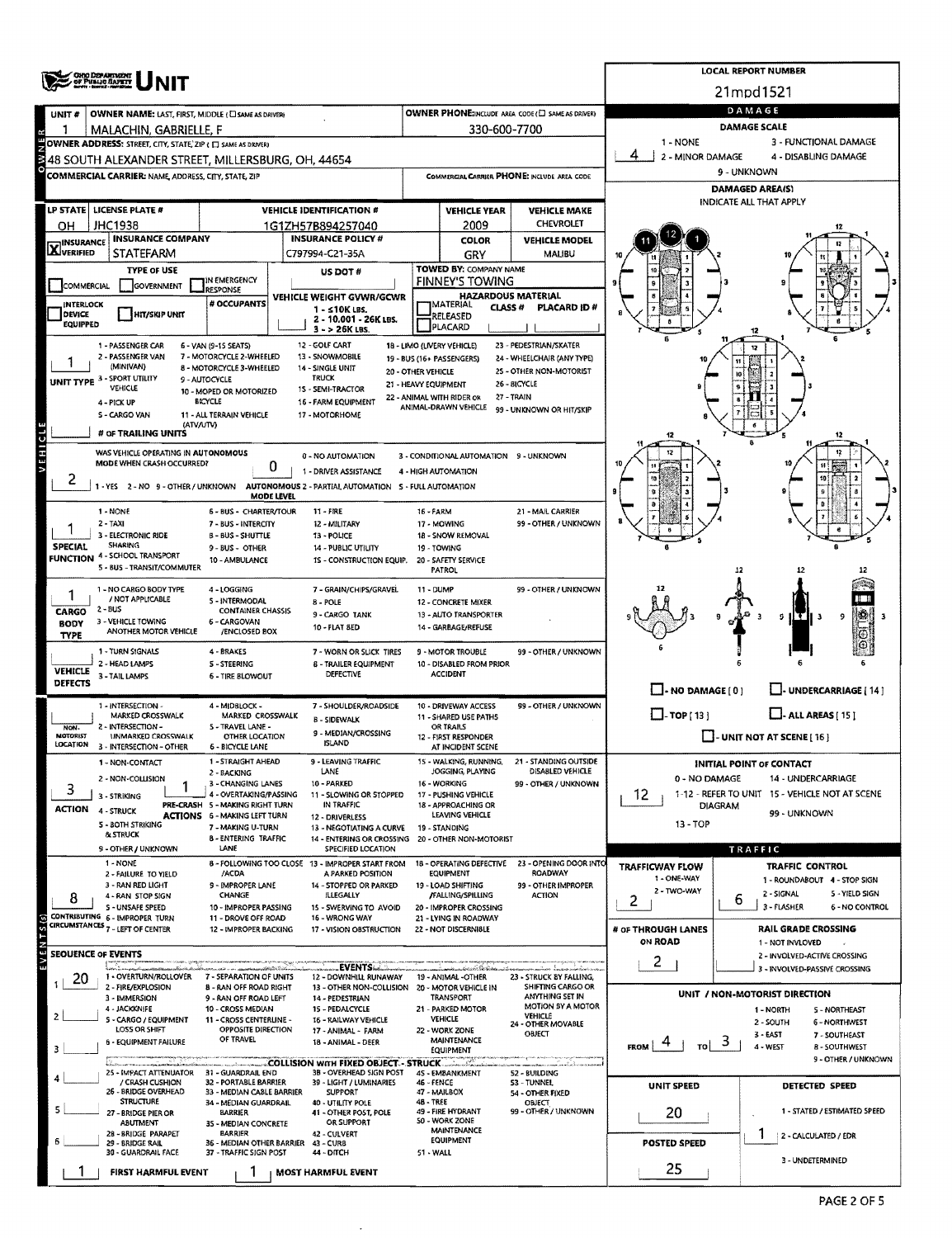|                                   | <b>ONG DEPARTMENT</b><br>OF PUBLIC BAPETY                                             |                                                          |                                                                         |                                     |                                                     |                                                       |                                                          | <b>LOCAL REPORT NUMBER</b><br>21mpd1521                              |  |  |  |  |  |
|-----------------------------------|---------------------------------------------------------------------------------------|----------------------------------------------------------|-------------------------------------------------------------------------|-------------------------------------|-----------------------------------------------------|-------------------------------------------------------|----------------------------------------------------------|----------------------------------------------------------------------|--|--|--|--|--|
|                                   |                                                                                       |                                                          |                                                                         |                                     |                                                     |                                                       |                                                          | DAMAGE                                                               |  |  |  |  |  |
| UNIT #                            | OWNER NAME: LAST, FIRST, MIDDLE (C) SAME AS DRIVER!                                   |                                                          |                                                                         |                                     |                                                     | OWNER PHONE:INCLUDE AREA CODE (E) SAME AS DRIVER)     |                                                          | DAMAGE SCALE                                                         |  |  |  |  |  |
|                                   | MALACHIN, GABRIELLE, F<br>OWNER ADDRESS: STREET, CITY, STATE, ZIP ( I SAME AS DRIVER) |                                                          |                                                                         |                                     | 330-600-7700                                        |                                                       | 1 - NONE                                                 | 3 - FUNCTIONAL DAMAGE                                                |  |  |  |  |  |
|                                   | 48 SOUTH ALEXANDER STREET, MILLERSBURG, OH. 44654                                     |                                                          |                                                                         |                                     |                                                     |                                                       | 2 - MINOR DAMAGE                                         | 4 - DISABLING DAMAGE                                                 |  |  |  |  |  |
|                                   | COMMERCIAL CARRIER: NAME, ADDRESS, CITY, STATE, ZIP                                   |                                                          |                                                                         |                                     |                                                     | COMMERCIAL CARRIER PHONE: INCLUDE AREA CODE           |                                                          | 9 - UNKNOWN                                                          |  |  |  |  |  |
|                                   |                                                                                       |                                                          |                                                                         |                                     |                                                     |                                                       | <b>DAMAGED AREA(S)</b>                                   |                                                                      |  |  |  |  |  |
|                                   | LP STATE LICENSE PLATE #                                                              |                                                          | <b>VEHICLE IDENTIFICATION #</b>                                         |                                     | <b>VEHICLE YEAR</b>                                 | <b>VEHICLE MAKE</b>                                   |                                                          | INDICATE ALL THAT APPLY                                              |  |  |  |  |  |
| ΟH                                | JHC1938                                                                               |                                                          | 1G1ZH57B894257040                                                       |                                     | 2009                                                | <b>CHEVROLET</b>                                      |                                                          |                                                                      |  |  |  |  |  |
| <b>X</b> INSURANCE                | <b>INSURANCE COMPANY</b>                                                              |                                                          | <b>INSURANCE POLICY #</b>                                               |                                     | <b>COLOR</b>                                        | <b>VEHICLE MODEL</b>                                  |                                                          |                                                                      |  |  |  |  |  |
|                                   | STATEFARM                                                                             |                                                          | C797994-C21-35A                                                         |                                     | GRY<br>TOWED BY: COMPANY NAME                       | MALIBU                                                |                                                          |                                                                      |  |  |  |  |  |
| <b>COMMERCIAL</b>                 | <b>TYPE OF USE</b><br><b>GOVERNMENT</b>                                               | IN EMERGENCY                                             | US DOT#                                                                 |                                     | <b>FINNEY'S TOWING</b>                              |                                                       | g                                                        |                                                                      |  |  |  |  |  |
|                                   |                                                                                       | RESPONSE<br># OCCUPANTS                                  | VEHICLE WEIGHT GVWR/GCWR                                                |                                     | <b>HAZARDOUS MATERIAL</b>                           |                                                       |                                                          |                                                                      |  |  |  |  |  |
| <b>INTERLOCK</b><br><b>DEVICE</b> | HIT/SKIP UNIT                                                                         |                                                          | 1 - ≤10K LBS.<br>2 - 10.001 - 26K LBS.                                  |                                     | MATERIAL<br>CLASS #<br>RELEASED                     | PLACARD ID#                                           |                                                          |                                                                      |  |  |  |  |  |
| <b>EQUIPPED</b>                   |                                                                                       |                                                          | $3 - 26K$ LBS.                                                          |                                     | PLACARD                                             |                                                       |                                                          |                                                                      |  |  |  |  |  |
|                                   | 1 - PASSENGER CAR<br>2 - PASSENGER VAN                                                | 6 - VAN (9-15 SEATS)                                     | 12 - GOLF CART                                                          |                                     | 18 - LIMO (LIVERY VEHICLE)                          | 23 - PEDESTRIAN/SKATER                                |                                                          |                                                                      |  |  |  |  |  |
|                                   | (MINIVAN)                                                                             | 7 - MOTORCYCLE 2-WHEELED<br>8 - MOTORCYCLE 3-WHEELED     | 13 - SNOWMOBILE<br>14 - SINGLE UNIT                                     | 20 - OTHER VEHICLE                  | 19 - BUS (16+ PASSENGERS)                           | 24 - WHEELCHAIR (ANY TYPE)<br>25 - OTHER NON-MOTORIST |                                                          | ١Ō                                                                   |  |  |  |  |  |
|                                   | UNIT TYPE 3 - SPORT UTILITY<br>VEHICLE                                                | 9 - AUTOCYCLE<br>10 - MOPED OR MOTORIZED                 | <b>TRUCK</b><br>15 - SEMI-TRACTOR                                       | 21 - HEAVY EQUIPMENT                |                                                     | 26 - BICYCLE                                          |                                                          |                                                                      |  |  |  |  |  |
|                                   | 4 - PICK UP                                                                           | <b>BICYCLE</b>                                           | 16 - FARM EQUIPMENT                                                     |                                     | 22 - ANIMAL WITH RIDER OR<br>ANIMAL-DRAWN VEHICLE   | 27 - TRAIN<br>99 - UNKNOWN OR HIT/SKIP                |                                                          |                                                                      |  |  |  |  |  |
|                                   | S - CARGO VAN<br>(ATV/UTV)                                                            | 11 - ALL TERRAIN VEHICLE                                 | 17 - MOTORHOME                                                          |                                     |                                                     |                                                       |                                                          |                                                                      |  |  |  |  |  |
| VEHICLE                           | # OF TRAILING UNITS                                                                   |                                                          |                                                                         |                                     |                                                     |                                                       |                                                          |                                                                      |  |  |  |  |  |
|                                   | WAS VEHICLE OPERATING IN AUTONOMOUS                                                   |                                                          | 0 - NO AUTOMATION                                                       |                                     | 3 - CONDITIONAL AUTOMATION 9 - UNKNOWN              |                                                       |                                                          | 12                                                                   |  |  |  |  |  |
|                                   | MODE WHEN CRASH OCCURRED?                                                             | 0                                                        | 1 - DRIVER ASSISTANCE                                                   |                                     | 4 - HIGH AUTOMATION                                 |                                                       |                                                          |                                                                      |  |  |  |  |  |
| ۷                                 | 1-YES 2-NO 9-OTHER/UNKNOWN                                                            |                                                          | AUTONOMOUS 2 - PARTIAL AUTOMATION 5 - FULL AUTOMATION                   |                                     |                                                     |                                                       |                                                          |                                                                      |  |  |  |  |  |
|                                   | 1 - NONE                                                                              | MODE LEVEL<br><b>6 - BUS - CHARTER/TOUR</b>              | 11 - FIRE                                                               | 16 - FARM                           |                                                     | 21 - MAIL CARRIER                                     |                                                          |                                                                      |  |  |  |  |  |
|                                   | $2 - TAXI$                                                                            | 7 - BUS - INTERCITY                                      | 12 - MILITARY                                                           |                                     | 17 - MOWING                                         | 99 - OTHER / UNKNOWN                                  |                                                          |                                                                      |  |  |  |  |  |
| <b>SPECIAL</b>                    | 3 - ELECTRONIC RIDE<br><b>SHARING</b>                                                 | <b>B - BUS - SHUTTLE</b>                                 | 13 - POLICE<br>14 - PUBLIC UTILITY                                      |                                     | 18 - SNOW REMOVAL<br>19 - TOWING                    |                                                       |                                                          |                                                                      |  |  |  |  |  |
|                                   | <b>FUNCTION 4 - SCHOOL TRANSPORT</b>                                                  | 9 - BUS - OTHER<br>10 - AMBULANCE                        | 15 - CONSTRUCTION EQUIP.                                                |                                     | 20 - SAFETY SERVICE                                 |                                                       |                                                          |                                                                      |  |  |  |  |  |
|                                   | 5 - BUS - TRANSIT/COMMUTER                                                            |                                                          |                                                                         |                                     | PATROL                                              |                                                       |                                                          | 12                                                                   |  |  |  |  |  |
|                                   | 1 - NO CARGO BODY TYPE<br>/ NOT APPLICABLE                                            | 4 - LOGGING                                              | 7 - GRAIN/CHIPS/GRAVEL                                                  | 11 - DUMP                           |                                                     | 99 - OTHER / UNKNOWN                                  |                                                          |                                                                      |  |  |  |  |  |
| <b>CARGO</b>                      | $2 - BUS$                                                                             | 5 INTERMODAL<br><b>CONTAINER CHASSIS</b>                 | <b>B-POLE</b><br>9 - CARGO TANK                                         |                                     | <b>12 - CONCRETE MIXER</b><br>13 - AUTO TRANSPORTER |                                                       |                                                          | 9<br>IŦ.<br>я                                                        |  |  |  |  |  |
| <b>BODY</b><br><b>TYPE</b>        | 3 - VEHICLE TOWING<br>ANOTHER MOTOR VEHICLE                                           | 6 - CARGOVAN<br>/ENCLOSED BOX                            | 10 - FLAT BED                                                           |                                     | 14 - GARBAGE/REFUSE                                 |                                                       |                                                          | G                                                                    |  |  |  |  |  |
|                                   | 1 - TURN SIGNALS                                                                      | 4 - BRAKES                                               | 7 - WORN OR SLICK TIRES                                                 |                                     | 9 - MOTOR TROUBLE                                   | 99 - OTHER / UNKNOWN                                  |                                                          |                                                                      |  |  |  |  |  |
| <b>VEHICLE</b>                    | 2 - HEAD LAMPS                                                                        | <b>S-STEERING</b>                                        | <b>6 - TRAILER EQUIPMENT</b>                                            |                                     | 10 - DISABLED FROM PRIOR                            |                                                       |                                                          |                                                                      |  |  |  |  |  |
| DEFECTS                           | 3-TAIL LAMPS                                                                          | 6 - TIRE BLOWOUT                                         | DEFECTIVE                                                               |                                     | <b>ACCIDENT</b>                                     |                                                       |                                                          |                                                                      |  |  |  |  |  |
|                                   | 1 - INTERSECTION -                                                                    | 4 - MIDBLOCK -                                           | 7 - SHOULDER/ROADSIDE                                                   |                                     | 10 - DRIVEWAY ACCESS                                | 99 - OTHER / UNKNOWN                                  | $\Box$ - NO DAMAGE [ 0 ]                                 | - UNDERCARRIAGE [ 14 ]                                               |  |  |  |  |  |
|                                   | MARKED CROSSWALK                                                                      | MARKED CROSSWALK                                         | <b>B - SIDEWALK</b>                                                     |                                     | 11 - SHARED USE PATHS                               |                                                       | $\Box$ -TOP(13)                                          | $\Box$ - ALL AREAS [ 15 ]                                            |  |  |  |  |  |
| NON-<br><b>MOTORIST</b>           | 2 - INTERSECTION -<br><b>UNMARKED CROSSWALK</b>                                       | 5 - TRAVEL LANE -<br><b>OTHER LOCATION</b>               | 9 - MEDIAN/CROSSING                                                     |                                     | OR TRAILS<br>12 - FIRST RESPONDER                   |                                                       |                                                          | - UNIT NOT AT SCENE [ 16 ]                                           |  |  |  |  |  |
| LOCATION                          | 3 - INTERSECTION - OTHER                                                              | <b>6 - BICYCLE LANE</b>                                  | <b>ISLAND</b>                                                           |                                     | AT INCIDENT SCENE                                   |                                                       |                                                          |                                                                      |  |  |  |  |  |
|                                   | 1 - NON-CONTACT                                                                       | 1 - STRAIGHT AHEAD<br>2 - BACKING                        | - LEAVING TRAFFIC<br>LANE                                               |                                     | 15 - WALKING, RUNNING,<br>JOGGING, PLAYING          | - STANDING OUTSIDE<br>DISABLED VEHICLE                |                                                          | <b>INITIAL POINT OF CONTACT</b>                                      |  |  |  |  |  |
| 3                                 | 2 - NON-COLLISION                                                                     | 3 - CHANGING LANES<br>4 - OVERTAKING/PASSING             | 10 - PARKED<br>11 - SLOWING OR STOPPED                                  |                                     | 16 WORKING                                          | 99 - OTHER / UNKNOWN                                  | 0 - NO DAMAGE                                            | 14 - UNDERCARRIAGE<br>1-12 - REFER TO UNIT 15 - VEHICLE NOT AT SCENE |  |  |  |  |  |
| <b>ACTION</b>                     | 3 - STRIKING<br>4 - STRUCK                                                            | PRE-CRASH 5 - MAKING RIGHT TURN                          | IN TRAFFIC                                                              |                                     | 17 - PUSHING VEHICLE<br>18 - APPROACHING OR         |                                                       | 12                                                       | <b>DIAGRAM</b>                                                       |  |  |  |  |  |
|                                   | 5 - BOTH STRIKING                                                                     | <b>ACTIONS 6 - MAKING LEFT TURN</b><br>7 - MAKING U-TURN | 12 - DRIVERLESS<br>13 - NEGOTIATING A CURVE                             |                                     | LEAVING VEHICLE<br>19 - STANDING                    |                                                       | 13 - TOP                                                 | 99 - UNKNOWN                                                         |  |  |  |  |  |
|                                   | <b><i>BLSTRUCK</i></b>                                                                | 8 - ENTERING TRAFFIC                                     | 14 - ENTERING OR CROSSING 20 - OTHER NON-MOTORIST                       |                                     |                                                     |                                                       |                                                          |                                                                      |  |  |  |  |  |
|                                   | 9 - OTHER / UNKNOWN<br>1 - NONE                                                       | LANE                                                     | SPECIFIED LOCATION<br>8 - FOLLOWING TOO CLOSE 13 - IMPROPER START FROM  |                                     | 18 - OPERATING DEFECTIVE                            | 23 - OPENING DOOR INTO                                |                                                          | TRAFFIC                                                              |  |  |  |  |  |
|                                   | 2 - FAILURE TO YIELD                                                                  | /ACDA                                                    | A PARKED POSITION                                                       |                                     | <b>EQUIPMENT</b>                                    | <b>ROADWAY</b>                                        | <b>TRAFFICWAY FLOW</b><br>1 - ONE-WAY                    | <b>TRAFFIC CONTROL</b><br>1 - ROUNDABOUT 4 - STOP SIGN               |  |  |  |  |  |
| 8                                 | 3 - RAN RED LIGHT<br>4 - RAN STOP SIGN                                                | 9 - IMPROPER LANE<br>CHANGE                              | 14 - STOPPED OR PARKED<br><b>ILLEGALLY</b>                              |                                     | 19 - LOAD SHIFTING<br>/FALLING/SPILLING             | 99 - OTHER IMPROPER<br><b>ACTION</b>                  | 2 - TWO-WAY                                              | 2 - SIGNAL<br>5 - YIELD SIGN                                         |  |  |  |  |  |
|                                   | S - UNSAFE SPEED<br>CONTRIBUTING 6 - IMPROPER TURN                                    | 10 - IMPROPER PASSING                                    | 15 - SWERVING TO AVOID                                                  |                                     | 20 - IMPROPER CROSSING                              |                                                       | 2                                                        | ь<br>3 - FLASHER<br><b>6 - NO CONTROL</b>                            |  |  |  |  |  |
|                                   | CIRCUMSTANCES 7 - LEFT OF CENTER                                                      | 11 - DROVE OFF ROAD<br>12 - IMPROPER BACKING             | 16 - WRONG WAY<br>17 - VISION OBSTRUCTION                               |                                     | 21 - LYING IN ROADWAY<br>22 - NOT DISCERNIBLE       |                                                       | # OF THROUGH LANES                                       | <b>RAIL GRADE CROSSING</b>                                           |  |  |  |  |  |
| EVENTS <sub>(S)</sub>             |                                                                                       |                                                          |                                                                         |                                     |                                                     |                                                       | ON ROAD                                                  | 1 - NOT INVLOVED                                                     |  |  |  |  |  |
| <b>SEOUENCE OF EVENTS</b>         |                                                                                       |                                                          | EVENTS                                                                  |                                     | a konstrucionar                                     |                                                       | 2                                                        | 2 - INVOLVED-ACTIVE CROSSING<br>3 - INVOLVED-PASSIVE CROSSING        |  |  |  |  |  |
| 20                                | 1 - OVERTURN/ROLLOVER<br>2 - FIRE/EXPLOSION                                           | 7 - SEPARATION OF UNITS<br>8 - RAN OFF ROAD RIGHT        | 12 - DOWNHILL RUNAWAY<br>13 - OTHER NON-COLLISION 20 - MOTOR VEHICLE IN |                                     | 19 - ANIMAL -OTHER                                  | 23 - STRUCK BY FALLING,<br>SHIFTING CARGO OR          |                                                          |                                                                      |  |  |  |  |  |
|                                   | 3 - IMMERSION                                                                         | 9 - RAN OFF ROAD LEFT                                    | 14 - PEDESTRIAN<br>15 - PEDALCYCLE                                      |                                     | <b>TRANSPORT</b>                                    | ANYTHING SET IN                                       |                                                          | UNIT / NON-MOTORIST DIRECTION                                        |  |  |  |  |  |
| 2                                 | 4 - JACKKNIFE<br>S - CARGO / EQUIPMENT                                                | 10 - CROSS MEDIAN<br>11 - CROSS CENTERLINE -             |                                                                         | 21 - PARKED MOTOR<br><b>VEHICLE</b> | MOTION BY A MOTOR<br><b>VEHICLE</b>                 |                                                       | 1 - NORTH<br>5 - NORTHEAST<br>2 - SOUTH<br>6 - NORTHWEST |                                                                      |  |  |  |  |  |
|                                   | LOSS OR SHIFT                                                                         | OPPOSITE DIRECTION<br>OF TRAVEL                          | 16 - RAILWAY VEHICLE<br>17 - ANIMAL - FARM                              |                                     | 22 - WORK ZONE<br>MAINTENANCE                       | 24 - OTHER MOVABLE<br>OBJECT                          |                                                          | 3 - EAST<br>7 - SOUTHEAST                                            |  |  |  |  |  |
| з                                 | 6 - EQUIPMENT FAILURE                                                                 |                                                          | 18 - ANIMAL - DEER                                                      |                                     | EQUIPMENT                                           |                                                       | <b>FROM</b><br>TO                                        | 3<br>4 - WEST<br>8 - SOUTHWEST                                       |  |  |  |  |  |
|                                   | 25 - IMPACT ATTENUATOR 31 - GUARDRAIL END                                             |                                                          | COLLISION WITH FIXED OBJECT - STRUCK<br>3B - OVERHEAD SIGN POST         |                                     | 45 - EMBANKMENT                                     | 52 - BUILDING                                         |                                                          | 9 - OTHER / UNKNOWN                                                  |  |  |  |  |  |
|                                   | / CRASH CUSHION<br>26 - BRIDGE OVERHEAD                                               | 32 - PORTABLE BARRIER<br>33 - MEDIAN CABLE BARRIER       | 39 - LIGHT / LUMINARIES<br><b>SUPPORT</b>                               | 46 - FENCE                          | 47 - MAILBOX                                        | S3 - TUNNEL<br>54 - OTHER FIXED                       | UNIT SPEED                                               | DETECTED SPEED                                                       |  |  |  |  |  |
| 5                                 | <b>STRUCTURE</b>                                                                      | 34 - MEDIAN GUARDRAIL                                    | 40 - UTILITY POLE                                                       | <b>48 - TREE</b>                    |                                                     | OBJECT<br>99 - OTHER / UNKNOWN                        |                                                          | 1 - STATED / ESTIMATED SPEED                                         |  |  |  |  |  |
|                                   | 27 - BRIDGE PIER OR<br><b>ABUTMENT</b>                                                | <b>BARRIER</b><br>35 - MEDIAN CONCRETE                   | 41 - OTHER POST, POLE<br>OR SUPPORT                                     |                                     | 49 - FIRE HYDRANT<br>50 - WORK ZONE                 |                                                       | 20                                                       |                                                                      |  |  |  |  |  |
|                                   | 28 - BRIDGE PARAPET<br>29 - BRIDGE RAIL                                               | BARRIER<br>36 - MEDIAN OTHER BARRIER                     | 42 - CULVERT<br>43 - CURB                                               |                                     | <b>MAINTENANCE</b><br>EQUIPMENT                     |                                                       | <b>POSTED SPEED</b>                                      | 2 - CALCULATED / EDR                                                 |  |  |  |  |  |
|                                   | 30 - GUARDRAIL FACE                                                                   | 37 - TRAFFIC SIGN POST                                   | 44 - DITCH                                                              | 51 - WALL                           |                                                     |                                                       |                                                          | 3 - UNDETERMINED                                                     |  |  |  |  |  |
|                                   | <b>FIRST HARMFUL EVENT</b>                                                            |                                                          | <b>MOST HARMFUL EVENT</b>                                               |                                     |                                                     |                                                       | 25                                                       |                                                                      |  |  |  |  |  |

 $\sim$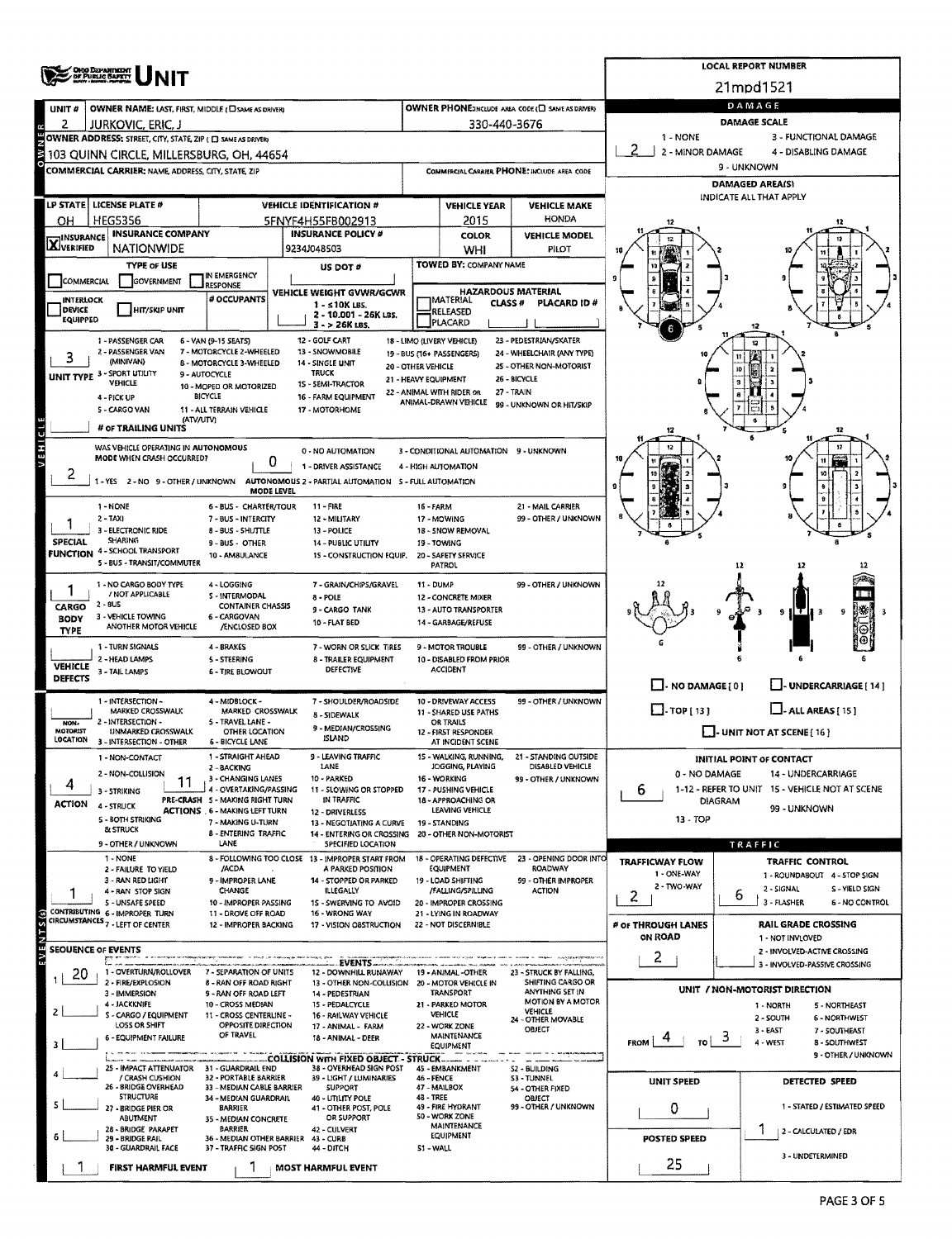|                                  | ORO DEPARTMENT                                                                                           |                                                                                                                                                                                                                                                                                                                                                                                                   |                                                                       |                                                          |                                                               |                                                   |                                          | <b>LOCAL REPORT NUMBER</b>                                    |  |  |  |  |  |  |
|----------------------------------|----------------------------------------------------------------------------------------------------------|---------------------------------------------------------------------------------------------------------------------------------------------------------------------------------------------------------------------------------------------------------------------------------------------------------------------------------------------------------------------------------------------------|-----------------------------------------------------------------------|----------------------------------------------------------|---------------------------------------------------------------|---------------------------------------------------|------------------------------------------|---------------------------------------------------------------|--|--|--|--|--|--|
|                                  |                                                                                                          |                                                                                                                                                                                                                                                                                                                                                                                                   |                                                                       |                                                          |                                                               |                                                   |                                          | 21mpd1521                                                     |  |  |  |  |  |  |
| UNIT #                           | OWNER NAME: LAST, FIRST, MIDDLE ( CI SAME AS DRIVER)                                                     |                                                                                                                                                                                                                                                                                                                                                                                                   |                                                                       |                                                          |                                                               | OWNER PHONE:INCLUDE AREA CODE (C) SAME AS DRIVERY |                                          | DAMAGE                                                        |  |  |  |  |  |  |
| 2                                | JURKOVIC, ERIC, J                                                                                        |                                                                                                                                                                                                                                                                                                                                                                                                   | 330-440-3676                                                          | <b>DAMAGE SCALE</b><br>1 - NONE<br>3 - FUNCTIONAL DAMAGE |                                                               |                                                   |                                          |                                                               |  |  |  |  |  |  |
|                                  | OWNER ADDRESS: STREET, CITY, STATE, ZIP ( C) SAME AS DRIVERY<br>103 QUINN CIRCLE, MILLERSBURG, OH, 44654 |                                                                                                                                                                                                                                                                                                                                                                                                   |                                                                       |                                                          |                                                               |                                                   | 2 - MINOR DAMAGE<br>4 - DISABLING DAMAGE |                                                               |  |  |  |  |  |  |
|                                  | <b>COMMERCIAL CARRIER: NAME ADDRESS, CITY, STATE, ZIP</b>                                                |                                                                                                                                                                                                                                                                                                                                                                                                   |                                                                       |                                                          |                                                               | COMMERCIAL CARRIER PHONE: INCLUDE AREA CODE       |                                          | 9 - UNKNOWN                                                   |  |  |  |  |  |  |
|                                  |                                                                                                          |                                                                                                                                                                                                                                                                                                                                                                                                   |                                                                       |                                                          |                                                               |                                                   |                                          | <b>DAMAGED AREA(S)</b>                                        |  |  |  |  |  |  |
|                                  | LP STATE   LICENSE PLATE #                                                                               |                                                                                                                                                                                                                                                                                                                                                                                                   | <b>VEHICLE IDENTIFICATION #</b>                                       |                                                          | <b>VEHICLE YEAR</b>                                           | <b>VEHICLE MAKE</b>                               |                                          | INDICATE ALL THAT APPLY                                       |  |  |  |  |  |  |
| OН                               | <b>HEG5356</b>                                                                                           |                                                                                                                                                                                                                                                                                                                                                                                                   | 5FNYF4H55FB002913                                                     |                                                          | 2015                                                          | <b>HONDA</b>                                      |                                          |                                                               |  |  |  |  |  |  |
| <b>X</b> INSURANCE               | <b>INSURANCE COMPANY</b><br><b>NATIONWIDE</b>                                                            |                                                                                                                                                                                                                                                                                                                                                                                                   | <b>INSURANCE POLICY #</b><br>9234J048503                              |                                                          | <b>COLOR</b>                                                  | <b>VEHICLE MODEL</b><br>PILOT                     |                                          |                                                               |  |  |  |  |  |  |
|                                  | <b>TYPE OF USE</b>                                                                                       |                                                                                                                                                                                                                                                                                                                                                                                                   | US DOT #                                                              |                                                          | WHI<br>TOWED BY: COMPANY NAME                                 |                                                   | 10                                       |                                                               |  |  |  |  |  |  |
| COMMERCIAL                       | <b>GOVERNMENT</b>                                                                                        | IN EMERGENCY<br><b>RESPONSE</b>                                                                                                                                                                                                                                                                                                                                                                   |                                                                       |                                                          |                                                               |                                                   | 9                                        |                                                               |  |  |  |  |  |  |
| <b>INTERLOCK</b>                 |                                                                                                          | # OCCUPANTS                                                                                                                                                                                                                                                                                                                                                                                       | VEHICLE WEIGHT GVWR/GCWR<br>$1 - 510K$ LBS.                           |                                                          | <b>HAZARDOUS MATERIAL</b><br><b>MATERIAL</b><br><b>CLASS#</b> | PLACARD ID#                                       |                                          |                                                               |  |  |  |  |  |  |
| <b>DEVICE</b><br><b>EQUIPPED</b> | <b>HIT/SKIP UNIT</b>                                                                                     |                                                                                                                                                                                                                                                                                                                                                                                                   | 2 - 10.001 - 26K LBS.<br>3 - > 26K LBS.                               |                                                          | RELEASED<br>PLACARD                                           |                                                   |                                          |                                                               |  |  |  |  |  |  |
|                                  | 1 - PASSENGER CAR                                                                                        | 6 - VAN (9-15 SEATS)                                                                                                                                                                                                                                                                                                                                                                              | 12 - GOLF CART                                                        |                                                          | 18 - LIMO (LIVERY VEHICLE)                                    | 23 - PEDESTRIAN/SKATER                            |                                          |                                                               |  |  |  |  |  |  |
|                                  | 2 - PASSENGER VAN<br>(MINIVAN)                                                                           | 7 - MOTORCYCLE 2-WHEELED<br>8 - MOTORCYCLE 3-WHEELED                                                                                                                                                                                                                                                                                                                                              | 13 - SNOWMOBILE<br>14 - SINGLE UNIT                                   |                                                          | 19 - BUS (16+ PASSENGERS)                                     | 24 - WHEELCHAIR (ANY TYPE)                        |                                          |                                                               |  |  |  |  |  |  |
|                                  | UNIT TYPE 3 - SPORT UTILITY<br><b>VEHICLE</b>                                                            |                                                                                                                                                                                                                                                                                                                                                                                                   | <b>TRUCK</b>                                                          |                                                          |                                                               |                                                   |                                          |                                                               |  |  |  |  |  |  |
|                                  | 4 - PICK UP                                                                                              | 20 - OTHER VEHICLE<br>25 - OTHER NON-MOTORIST<br>9 - AUTOCYCLE<br>26 - BICYCLE<br>21 - HEAVY EQUIPMENT<br>15 - SEMI-TRACTOR<br>10 - MOPED OR MOTORIZED<br>22 - ANIMAL WITH RIDER OR<br>27 - TRAIN<br><b>BICYCLE</b><br>16 - FARM EQUIPMENT<br>ANIMAL-DRAWN VEHICLE<br>99 - UNKNOWN OR HIT/5KIP<br>11 ALL TERRAIN VEHICLE<br>17 - MOTORHOME<br>(ATV/UTV)<br>3 - CONDITIONAL AUTOMATION 9 - UNKNOWN |                                                                       |                                                          |                                                               |                                                   |                                          |                                                               |  |  |  |  |  |  |
|                                  | 5 - CARGO VAN                                                                                            |                                                                                                                                                                                                                                                                                                                                                                                                   |                                                                       |                                                          |                                                               |                                                   |                                          |                                                               |  |  |  |  |  |  |
|                                  | # OF TRAILING UNITS                                                                                      |                                                                                                                                                                                                                                                                                                                                                                                                   |                                                                       |                                                          |                                                               |                                                   |                                          |                                                               |  |  |  |  |  |  |
| VEHICL                           | WAS VEHICLE OPERATING IN AUTONOMOUS<br>MODE WHEN CRASH OCCURRED?                                         |                                                                                                                                                                                                                                                                                                                                                                                                   | 0 - NO AUTOMATION                                                     |                                                          |                                                               |                                                   |                                          |                                                               |  |  |  |  |  |  |
| ۷                                |                                                                                                          | 0                                                                                                                                                                                                                                                                                                                                                                                                 | 1 - DRIVER ASSISTANCE                                                 |                                                          | 4 - HIGH AUTOMATION                                           |                                                   |                                          |                                                               |  |  |  |  |  |  |
|                                  | 1-YES 2-NO 9-OTHER/UNKNOWN                                                                               | <b>MODE LEVEL</b>                                                                                                                                                                                                                                                                                                                                                                                 | AUTONOMOUS 2 - PARTIAL AUTOMATION 5 - FULL AUTOMATION                 |                                                          |                                                               |                                                   |                                          |                                                               |  |  |  |  |  |  |
|                                  | 1 - NONE                                                                                                 | 6 - BUS - CHARTER/TOUR                                                                                                                                                                                                                                                                                                                                                                            | $11 - FIRE$                                                           | 16 - FARM                                                |                                                               | 21 - MAIL CARRIER                                 |                                          |                                                               |  |  |  |  |  |  |
|                                  | $2 - TAXI$<br>- ELECTRONIC RIDE                                                                          | 7 - BUS - INTERCITY<br>8 - BUS - SHUTTLE                                                                                                                                                                                                                                                                                                                                                          | 12 - MILITARY<br>13 - POLICE                                          |                                                          | 17 - MOWING<br>18 - SNOW REMOVAL                              | 99 - OTHER / UNKNOWN                              |                                          |                                                               |  |  |  |  |  |  |
| <b>SPECIAL</b>                   | <b>SHARING</b><br><b>FUNCTION 4 - SCHOOL TRANSPORT</b>                                                   | 9 - BUS - OTHER                                                                                                                                                                                                                                                                                                                                                                                   | 14 - PUBLIC UTILITY                                                   |                                                          | 19 - TOWING                                                   |                                                   |                                          |                                                               |  |  |  |  |  |  |
|                                  | 5 - BUS - TRANSIT/COMMUTER                                                                               | 10 - AM8ULANCE                                                                                                                                                                                                                                                                                                                                                                                    | 15 - CONSTRUCTION EQUIP.                                              |                                                          | 20 - SAFETY SERVICE<br><b>PATROL</b>                          |                                                   |                                          | 12                                                            |  |  |  |  |  |  |
|                                  | 1 - NO CARGO BODY TYPE                                                                                   | 4 - LOGGING                                                                                                                                                                                                                                                                                                                                                                                       | 7 - GRAIN/CHIPS/GRAVEL                                                | 11 - DUMP                                                |                                                               | 99 - OTHER / UNKNOWN                              |                                          |                                                               |  |  |  |  |  |  |
| CARGO                            | / NOT APPLICABLE<br>$2 - 8US$                                                                            | S - INTERMODAL<br><b>CONTAINER CHASSIS</b>                                                                                                                                                                                                                                                                                                                                                        | 8 - POLE                                                              |                                                          | 12 - CONCRETE MIXER                                           |                                                   |                                          |                                                               |  |  |  |  |  |  |
| <b>BODY</b>                      | 3 - VEHICLE TOWING<br>ANOTHER MOTOR VEHICLE                                                              | 6 - CARGOVAN<br>/ENCLOSED BOX                                                                                                                                                                                                                                                                                                                                                                     | 9 - CARGO TANK<br>10 - FLAT BED                                       |                                                          | 13 - AUTO TRANSPORTER<br>14 - GARBAGE/REFUSE                  |                                                   |                                          | 9                                                             |  |  |  |  |  |  |
| <b>TYPE</b>                      | 1 - TURN SIGNALS                                                                                         | 4 - BRAKES                                                                                                                                                                                                                                                                                                                                                                                        | 7 - WORN OR SLICK TIRES                                               |                                                          | 9 - MOTOR TROUBLE                                             | 99 - OTHER / UNKNOWN                              |                                          |                                                               |  |  |  |  |  |  |
| <b>VEHICLE</b>                   | 2 - HEAD LAMPS                                                                                           | 5 - STEERING                                                                                                                                                                                                                                                                                                                                                                                      | <b>8 - TRAILER EQUIPMENT</b>                                          |                                                          | 10 - DISABLED FROM PRIOR                                      |                                                   |                                          |                                                               |  |  |  |  |  |  |
| DEFECTS                          | 3 - TAIL LAMPS                                                                                           | <b>6 - TIRE BLOWOUT</b>                                                                                                                                                                                                                                                                                                                                                                           | DEFECTIVE                                                             |                                                          | ACCIDENT                                                      |                                                   | $\Box$ - NO DAMAGE [ 0 ]                 | - UNDERCARRIAGE [ 14 ]                                        |  |  |  |  |  |  |
|                                  | 1 - INTERSECTION -                                                                                       | 4 - MIDBLOCK -                                                                                                                                                                                                                                                                                                                                                                                    | 7 - SHOULDER/ROADSIDE                                                 |                                                          | 10 - DRIVEWAY ACCESS                                          | 99 - OTHER / UNKNOWN                              |                                          |                                                               |  |  |  |  |  |  |
| NON-                             | MARKED CROSSWALK<br>2 - INTERSECTION -                                                                   | MARKED CROSSWALK<br>5 - TRAVEL LANE -                                                                                                                                                                                                                                                                                                                                                             | 8 - SIDEWALK                                                          |                                                          | 11 - SHARED USE PATHS<br>OR TRAILS                            |                                                   | $\Box$ -TOP [13]                         | $\Box$ - ALL AREAS [ 15 ]                                     |  |  |  |  |  |  |
| <b>MOTORIST</b><br>LOCATION      | UNMARKED CROSSWALK<br>3 - INTERSECTION - OTHER                                                           | OTHER LOCATION<br><b>6 - BICYCLE LANE</b>                                                                                                                                                                                                                                                                                                                                                         | 9 - MEDIAN/CROSSING<br><b>ISLAND</b>                                  |                                                          | 12 - FIRST RESPONDER<br>AT INCIDENT SCENE                     |                                                   |                                          | $\Box$ - UNIT NOT AT SCENE [16]                               |  |  |  |  |  |  |
|                                  | 1 - NON-CONTACT                                                                                          | 1 - STRAIGHT AHEAD                                                                                                                                                                                                                                                                                                                                                                                | <b>9 - I FAVING TRAFFIC</b>                                           |                                                          | 15 - WALKING, RUNNING,                                        | 21 - STANDING OUTSIDE                             |                                          | INITIAL POINT OF CONTACT                                      |  |  |  |  |  |  |
|                                  | 2 - NON-COLLISION                                                                                        | 2 - BACKING<br>3 - CHANGING LANES                                                                                                                                                                                                                                                                                                                                                                 | LANE<br>10 - PARKED                                                   |                                                          | JOGGING, PLAYING<br>16 WORKING                                | DISABLED VEHICLE<br>99 - OTHER / UNKNOWN          | 0 - NO DAMAGE                            | 14 - UNDERCARRIAGE                                            |  |  |  |  |  |  |
| 4                                | 3 - STRIKING                                                                                             | 4 - OVERTAKING/PASSING<br>PRE-CRASH 5 - MAKING RIGHT TURN                                                                                                                                                                                                                                                                                                                                         | 11 - SLOWING OR STOPPED                                               |                                                          | 17 - PUSHING VEHICLE<br>18 - APPROACHING OR                   |                                                   | 6                                        | 1-12 - REFER TO UNIT 15 - VEHICLE NOT AT SCENE                |  |  |  |  |  |  |
| <b>ACTION</b>                    | 4 - STRUCK                                                                                               | <b>ACTIONS</b> 6 - MAKING LEFT TURN                                                                                                                                                                                                                                                                                                                                                               | IN TRAFFIC<br>12 - DRIVERLESS                                         |                                                          | LEAVING VEHICLE                                               |                                                   | DIAGRAM                                  | 99 - UNKNOWN                                                  |  |  |  |  |  |  |
|                                  | 5 - BOTH STRIKING<br><b>&amp; STRUCK</b>                                                                 | 7 - MAKING U-TURN<br><b>B - ENTERING TRAFFIC</b>                                                                                                                                                                                                                                                                                                                                                  | 13 - NEGOTJATING A CURVE<br>14 - ENTERING OR CROSSING                 |                                                          | 19 - STANDING<br>20 - OTHER NON-MOTORIST                      |                                                   | 13 - TOP                                 |                                                               |  |  |  |  |  |  |
|                                  | 9 - OTHER / UNKNOWN                                                                                      | LANE                                                                                                                                                                                                                                                                                                                                                                                              | SPECIFIED LOCATION                                                    |                                                          |                                                               |                                                   |                                          | TRAFFIC                                                       |  |  |  |  |  |  |
|                                  | 1 - NONE<br>2 - FAILURE TO YIELD                                                                         | /ACDA                                                                                                                                                                                                                                                                                                                                                                                             | 8 - FOLLOWING TOO CLOSE 13 - IMPROPER START FROM<br>A PARKED POSITION |                                                          | 18 - OPERATING DEFECTIVE<br><b>EQUIPMENT</b>                  | 23 - OPENING DOOR INTO<br>ROADWAY                 | <b>TRAFFICWAY FLOW</b><br>1 - ONE-WAY    | <b>TRAFFIC CONTROL</b><br>1 - ROUNDABOUT 4 - STOP SIGN        |  |  |  |  |  |  |
|                                  | 3 - RAN RED LIGHT<br>4 - RAN STOP SIGN                                                                   | 9 - IMPROPER LANE<br>CHANGE                                                                                                                                                                                                                                                                                                                                                                       | 14 - STOPPED OR PARKED<br><b>ILLEGALLY</b>                            |                                                          | 19 LOAD SHIFTING<br>/FALLING/SPILLING                         | 99 - OTHER IMPROPER<br><b>ACTION</b>              | 2 - TWO-WAY                              | 2 - SIGNAL<br>S - YIELD SIGN                                  |  |  |  |  |  |  |
|                                  | 5 - UNSAFE SPEED                                                                                         | 10 - IMPROPER PASSING                                                                                                                                                                                                                                                                                                                                                                             | 15 - SWERVING TO AVOID                                                |                                                          | 20 - IMPROPER CROSSING                                        |                                                   | z                                        | 6<br>3 - FLASHER<br><b>6 - NO CONTROL</b>                     |  |  |  |  |  |  |
| 25(5)                            | CONTRIBUTING 6 - IMPROPER TURN<br>CIRCUMSTANCES 7 - LEFT OF CENTER                                       | 11 - DROVE OFF ROAD<br>12 - IMPROPER BACKING                                                                                                                                                                                                                                                                                                                                                      | 16 - WRONG WAY<br>17 - VISION OBSTRUCTION                             |                                                          | 21 - LYING IN ROADWAY<br>22 - NOT DISCERNIBLE                 |                                                   | # OF THROUGH LANES                       | <b>RAIL GRADE CROSSING</b>                                    |  |  |  |  |  |  |
|                                  | SEOUENCE OF EVENTS                                                                                       |                                                                                                                                                                                                                                                                                                                                                                                                   |                                                                       |                                                          |                                                               |                                                   | ON ROAD                                  | 1 - NOT INVLOVED<br>2 - INVOLVED-ACTIVE CROSSING              |  |  |  |  |  |  |
|                                  |                                                                                                          |                                                                                                                                                                                                                                                                                                                                                                                                   | EVENTS                                                                |                                                          |                                                               |                                                   | $\overline{c}$                           | 3 - INVOLVED-PASSIVE CROSSING                                 |  |  |  |  |  |  |
| 20                               | 1 - OVERTURN/ROLLOVER<br>2 - FIRE/EXPLOSION                                                              | 7 - SEPARATION OF UNITS<br>8 - RAN OFF ROAD RIGHT                                                                                                                                                                                                                                                                                                                                                 | 12 - DOWNHILL RUNAWAY<br>13 - OTHER NON-COLLISION                     |                                                          | 19 - ANIMAL -OTHER<br>20 - MOTOR VEHICLE IN                   | 23 - STRUCK BY FALLING,<br>SHIFTING CARGO OR      |                                          |                                                               |  |  |  |  |  |  |
|                                  | 3 - IMMERSION<br>4 - JACKKNIFE                                                                           | 9 - RAN OFF ROAD LEFT<br>10 - CROSS MEDIAN                                                                                                                                                                                                                                                                                                                                                        | 14 - PEDESTRIAN<br>15 - PEDALCYCLE                                    |                                                          | <b>TRANSPORT</b><br>21 - PARKED MOTOR                         | ANYTHING SET IN<br><b>MOTION BY A MOTOR</b>       |                                          | UNIT / NON-MOTORIST DIRECTION<br>1 - NORTH<br>5 - NORTHEAST   |  |  |  |  |  |  |
|                                  | S - CARGO / EQUIPMENT<br>LOSS OR SHIFT                                                                   | 11 - CROSS CENTERLINE -<br>OPPOSITE DIRECTION                                                                                                                                                                                                                                                                                                                                                     | 16 - RAILWAY VEHICLE                                                  |                                                          | <b>VEHICLE</b>                                                | <b>VEHICLE</b><br>24 - OTHER MOVABLE              |                                          | 2 - SOUTH<br>6 - NORTHWEST                                    |  |  |  |  |  |  |
|                                  | <b>6 - EQUIPMENT FAILURE</b>                                                                             | OF TRAVEL                                                                                                                                                                                                                                                                                                                                                                                         | 17 - ANIMAL - FARM<br>18 - ANIMAL - DEER                              |                                                          | 22 - WORK ZONE<br><b>MAINTENANCE</b>                          | OBJECT                                            | <b>FROM</b><br>TO I                      | $3 - EAST$<br>7 - SOUTHEAST<br>್<br>4 - WEST<br>8 - SOUTHWEST |  |  |  |  |  |  |
|                                  |                                                                                                          |                                                                                                                                                                                                                                                                                                                                                                                                   | COLLISION WITH FIXED OBJECT. - STRUCK                                 |                                                          | <b>EQUIPMENT</b>                                              |                                                   |                                          | 9 - OTHER / UNKNOWN                                           |  |  |  |  |  |  |
|                                  | 25 - IMPACT ATTENUATOR<br>/ CRASH CUSHION                                                                | 31 - GUARDRAIL END<br>32 - PORTABLE BARRIER                                                                                                                                                                                                                                                                                                                                                       | 38 - OVERHEAD SIGN POST<br>39 - LIGHT / LUMINARIES                    | 46 - FENCE                                               | 45 - EMBANKMENT                                               | 52 - BUILDING<br>53 - TUNNEL                      | <b>UNIT SPEED</b>                        | DETECTED SPEED                                                |  |  |  |  |  |  |
|                                  | 26 - BRIDGE OVERHEAD<br><b>STRUCTURE</b>                                                                 | 33 - MEDIAN CABLE BARRIER<br>34 - MEDIAN GUARDRAIL                                                                                                                                                                                                                                                                                                                                                | <b>SUPPORT</b><br>40 - UTILITY POLE                                   | 48 - TREE                                                | 47 - MAILBOX                                                  | 54 - OTHER FIXED<br>OBJECT                        |                                          |                                                               |  |  |  |  |  |  |
|                                  | 27 - BRIDGE PIER OR<br><b>ABUTMENT</b>                                                                   | BARRIER                                                                                                                                                                                                                                                                                                                                                                                           | 41 - OTHER POST, POLE<br>OR SUPPORT                                   |                                                          | 49 - FIRE HYDRANT<br><b>SO - WORK ZONE</b>                    | 99 - OTHER / UNKNOWN                              | 0                                        | 1 - STATED / ESTIMATED SPEED                                  |  |  |  |  |  |  |
| 6                                | 28 - BRIDGE PARAPET                                                                                      | 35 - MEDIAN CONCRETE<br>BARRIER                                                                                                                                                                                                                                                                                                                                                                   | 42 - CULVERT                                                          |                                                          | MAINTENANCE<br><b>EQUIPMENT</b>                               |                                                   |                                          | 2 - CALCULATED / EDR                                          |  |  |  |  |  |  |
|                                  | 29 - BRIDGE RAIL<br>30 - GUARDRAIL FACE                                                                  | 36 - MEDIAN OTHER BARRIER 43 - CURB<br>37 - TRAFFIC SIGN POST                                                                                                                                                                                                                                                                                                                                     | 44 - DITCH                                                            | S1 - WALL                                                |                                                               |                                                   | <b>POSTED SPEED</b>                      | 3 - UNDETERMINED                                              |  |  |  |  |  |  |
|                                  | <b>FIRST HARMFUL EVENT</b>                                                                               |                                                                                                                                                                                                                                                                                                                                                                                                   | <b>MOST HARMFUL EVENT</b>                                             |                                                          |                                                               |                                                   | 25                                       |                                                               |  |  |  |  |  |  |